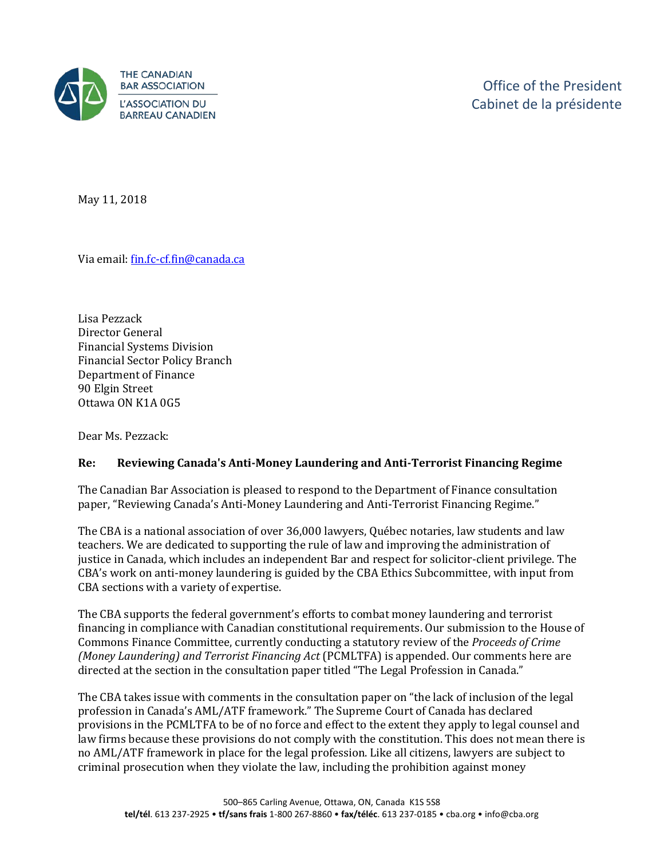

May 11, 2018

Via email[: fin.fc-cf.fin@canada.ca](mailto:fin.fc-cf.fin@canada.ca) 

Lisa Pezzack Director General Financial Systems Division Financial Sector Policy Branch Department of Finance 90 Elgin Street Ottawa ON K1A 0G5

Dear Ms. Pezzack:

## **Re: Reviewing Canada's Anti-Money Laundering and Anti-Terrorist Financing Regime**

The Canadian Bar Association is pleased to respond to the Department of Finance consultation paper, "Reviewing Canada's Anti-Money Laundering and Anti-Terrorist Financing Regime."

The CBA is a national association of over 36,000 lawyers, Québec notaries, law students and law teachers. We are dedicated to supporting the rule of law and improving the administration of justice in Canada, which includes an independent Bar and respect for solicitor-client privilege. The CBA's work on anti-money laundering is guided by the CBA Ethics Subcommittee, with input from CBA sections with a variety of expertise.

The CBA supports the federal government's efforts to combat money laundering and terrorist financing in compliance with Canadian constitutional requirements. Our submission to the House of Commons Finance Committee, currently conducting a statutory review of the *Proceeds of Crime (Money Laundering) and Terrorist Financing Act* (PCMLTFA) is appended. Our comments here are directed at the section in the consultation paper titled "The Legal Profession in Canada."

The CBA takes issue with comments in the consultation paper on "the lack of inclusion of the legal profession in Canada's AML/ATF framework." The Supreme Court of Canada has declared provisions in the PCMLTFA to be of no force and effect to the extent they apply to legal counsel and law firms because these provisions do not comply with the constitution. This does not mean there is no AML/ATF framework in place for the legal profession. Like all citizens, lawyers are subject to criminal prosecution when they violate the law, including the prohibition against money